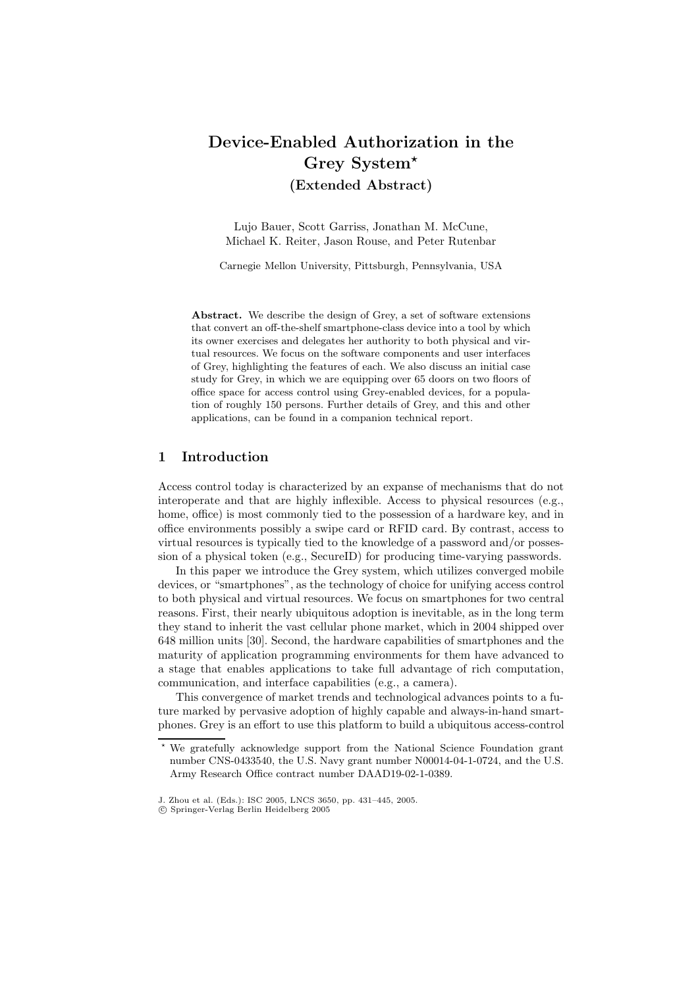# **Device-Enabled Authorization in the Grey System (Extended Abstract)**

Lujo Bauer, Scott Garriss, Jonathan M. McCune, Michael K. Reiter, Jason Rouse, and Peter Rutenbar

Carnegie Mellon University, Pittsburgh, Pennsylvania, USA

**Abstract.** We describe the design of Grey, a set of software extensions that convert an off-the-shelf smartphone-class device into a tool by which its owner exercises and delegates her authority to both physical and virtual resources. We focus on the software components and user interfaces of Grey, highlighting the features of each. We also discuss an initial case study for Grey, in which we are equipping over 65 doors on two floors of office space for access control using Grey-enabled devices, for a population of roughly 150 persons. Further details of Grey, and this and other applications, can be found in a companion technical report.

## **1 Introduction**

Access control today is characterized by an expanse of mechanisms that do not interoperate and that are highly inflexible. Access to physical resources (e.g., home, office) is most commonly tied to the possession of a hardware key, and in office environments possibly a swipe card or RFID card. By contrast, access to virtual resources is typically tied to the knowledge of a password and/or possession of a physical token (e.g., SecureID) for producing time-varying passwords.

In this paper we introduce the Grey system, which utilizes converged mobile devices, or "smartphones", as the technology of choice for unifying access control to both physical and virtual resources. We focus on smartphones for two central reasons. First, their nearly ubiquitous adoption is inevitable, as in the long term they stand to inherit the vast cellular phone market, which in 2004 shipped over 648 million units [30]. Second, the hardware capabilities of smartphones and the maturity of application programming environments for them have advanced to a stage that enables applications to take full advantage of rich computation, communication, and interface capabilities (e.g., a camera).

This convergence of market trends and technological advances points to a future marked by pervasive adoption of highly capable and always-in-hand smartphones. Grey is an effort to use this platform to build a ubiquitous access-control

 $^\star$  We gratefully acknowledge support from the National Science Foundation grant number CNS-0433540, the U.S. Navy grant number N00014-04-1-0724, and the U.S. Army Research Office contract number DAAD19-02-1-0389.

J. Zhou et al. (Eds.): ISC 2005, LNCS 3650, pp. 431–445, 2005.

c Springer-Verlag Berlin Heidelberg 2005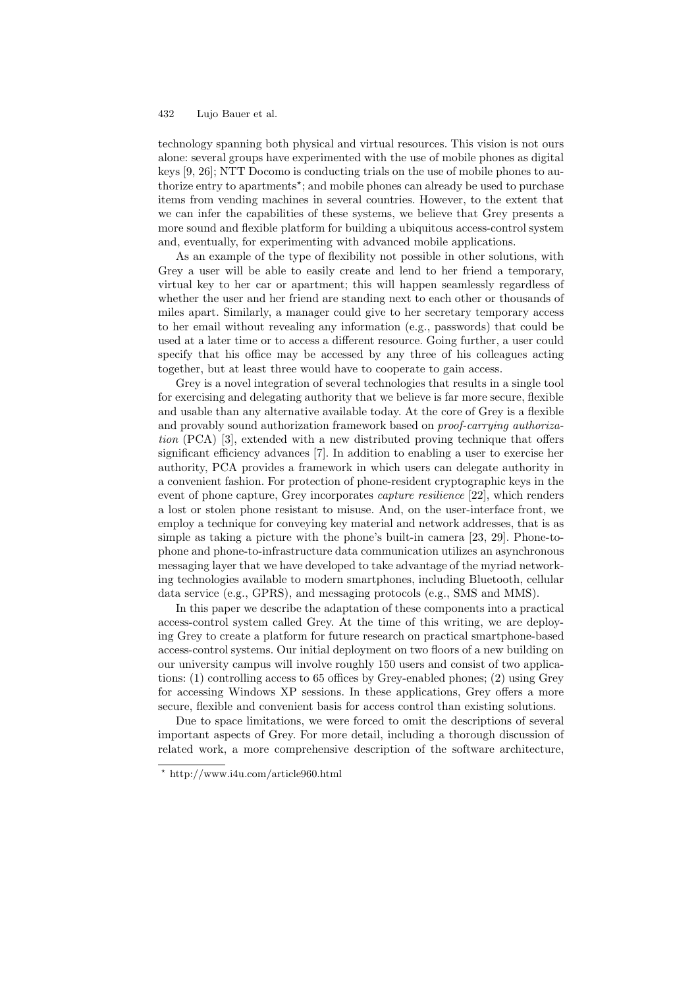technology spanning both physical and virtual resources. This vision is not ours alone: several groups have experimented with the use of mobile phones as digital keys [9, 26]; NTT Docomo is conducting trials on the use of mobile phones to authorize entry to apartments<sup>\*</sup>; and mobile phones can already be used to purchase items from vending machines in several countries. However, to the extent that we can infer the capabilities of these systems, we believe that Grey presents a more sound and flexible platform for building a ubiquitous access-control system and, eventually, for experimenting with advanced mobile applications.

As an example of the type of flexibility not possible in other solutions, with Grey a user will be able to easily create and lend to her friend a temporary, virtual key to her car or apartment; this will happen seamlessly regardless of whether the user and her friend are standing next to each other or thousands of miles apart. Similarly, a manager could give to her secretary temporary access to her email without revealing any information (e.g., passwords) that could be used at a later time or to access a different resource. Going further, a user could specify that his office may be accessed by any three of his colleagues acting together, but at least three would have to cooperate to gain access.

Grey is a novel integration of several technologies that results in a single tool for exercising and delegating authority that we believe is far more secure, flexible and usable than any alternative available today. At the core of Grey is a flexible and provably sound authorization framework based on *proof-carrying authorization* (PCA) [3], extended with a new distributed proving technique that offers significant efficiency advances [7]. In addition to enabling a user to exercise her authority, PCA provides a framework in which users can delegate authority in a convenient fashion. For protection of phone-resident cryptographic keys in the event of phone capture, Grey incorporates *capture resilience* [22], which renders a lost or stolen phone resistant to misuse. And, on the user-interface front, we employ a technique for conveying key material and network addresses, that is as simple as taking a picture with the phone's built-in camera [23, 29]. Phone-tophone and phone-to-infrastructure data communication utilizes an asynchronous messaging layer that we have developed to take advantage of the myriad networking technologies available to modern smartphones, including Bluetooth, cellular data service (e.g., GPRS), and messaging protocols (e.g., SMS and MMS).

In this paper we describe the adaptation of these components into a practical access-control system called Grey. At the time of this writing, we are deploying Grey to create a platform for future research on practical smartphone-based access-control systems. Our initial deployment on two floors of a new building on our university campus will involve roughly 150 users and consist of two applications: (1) controlling access to 65 offices by Grey-enabled phones; (2) using Grey for accessing Windows XP sessions. In these applications, Grey offers a more secure, flexible and convenient basis for access control than existing solutions.

Due to space limitations, we were forced to omit the descriptions of several important aspects of Grey. For more detail, including a thorough discussion of related work, a more comprehensive description of the software architecture,

http://www.i4u.com/article960.html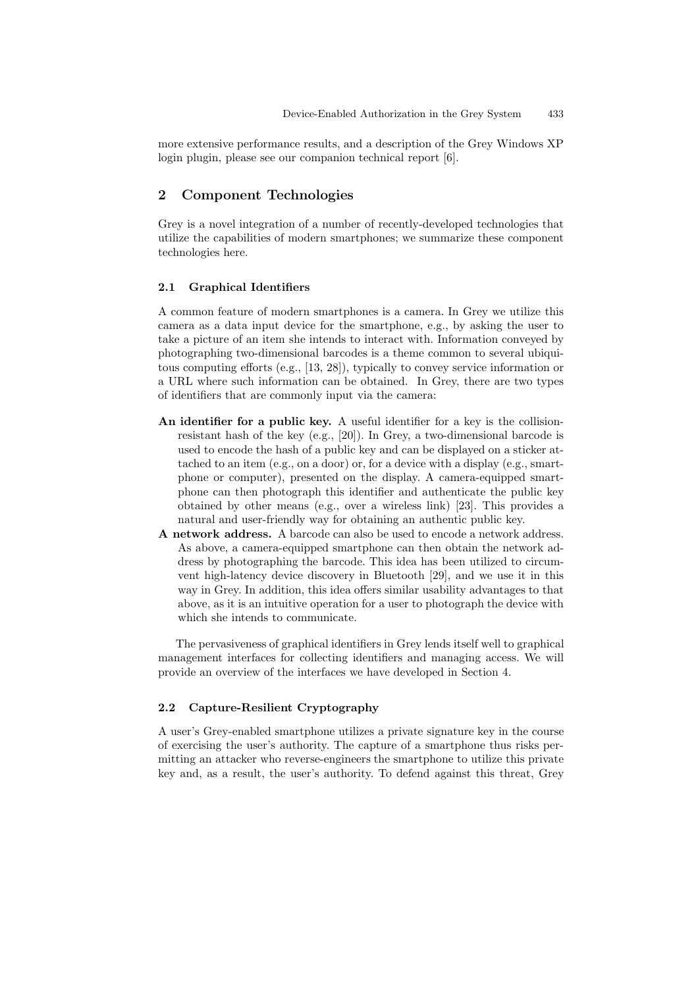more extensive performance results, and a description of the Grey Windows XP login plugin, please see our companion technical report [6].

## **2 Component Technologies**

Grey is a novel integration of a number of recently-developed technologies that utilize the capabilities of modern smartphones; we summarize these component technologies here.

### **2.1 Graphical Identifiers**

A common feature of modern smartphones is a camera. In Grey we utilize this camera as a data input device for the smartphone, e.g., by asking the user to take a picture of an item she intends to interact with. Information conveyed by photographing two-dimensional barcodes is a theme common to several ubiquitous computing efforts (e.g., [13, 28]), typically to convey service information or a URL where such information can be obtained. In Grey, there are two types of identifiers that are commonly input via the camera:

- **An identifier for a public key.** A useful identifier for a key is the collisionresistant hash of the key (e.g., [20]). In Grey, a two-dimensional barcode is used to encode the hash of a public key and can be displayed on a sticker attached to an item (e.g., on a door) or, for a device with a display (e.g., smartphone or computer), presented on the display. A camera-equipped smartphone can then photograph this identifier and authenticate the public key obtained by other means (e.g., over a wireless link) [23]. This provides a natural and user-friendly way for obtaining an authentic public key.
- **A network address.** A barcode can also be used to encode a network address. As above, a camera-equipped smartphone can then obtain the network address by photographing the barcode. This idea has been utilized to circumvent high-latency device discovery in Bluetooth [29], and we use it in this way in Grey. In addition, this idea offers similar usability advantages to that above, as it is an intuitive operation for a user to photograph the device with which she intends to communicate.

The pervasiveness of graphical identifiers in Grey lends itself well to graphical management interfaces for collecting identifiers and managing access. We will provide an overview of the interfaces we have developed in Section 4.

## **2.2 Capture-Resilient Cryptography**

A user's Grey-enabled smartphone utilizes a private signature key in the course of exercising the user's authority. The capture of a smartphone thus risks permitting an attacker who reverse-engineers the smartphone to utilize this private key and, as a result, the user's authority. To defend against this threat, Grey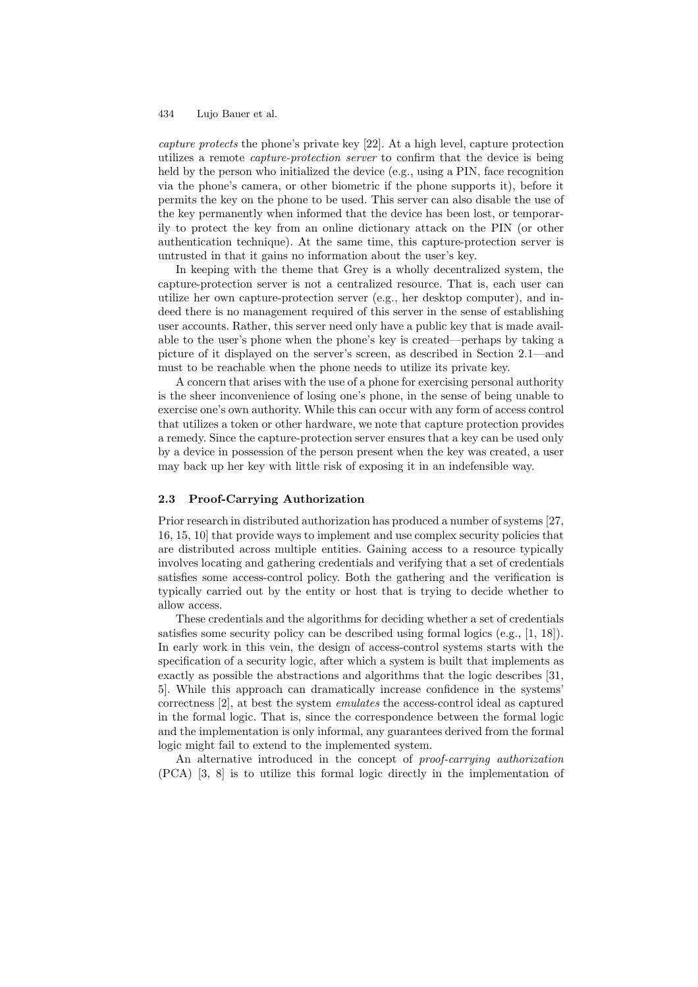*capture protects* the phone's private key [22]. At a high level, capture protection utilizes a remote *capture-protection server* to confirm that the device is being held by the person who initialized the device (e.g., using a PIN, face recognition via the phone's camera, or other biometric if the phone supports it), before it permits the key on the phone to be used. This server can also disable the use of the key permanently when informed that the device has been lost, or temporarily to protect the key from an online dictionary attack on the PIN (or other authentication technique). At the same time, this capture-protection server is untrusted in that it gains no information about the user's key.

In keeping with the theme that Grey is a wholly decentralized system, the capture-protection server is not a centralized resource. That is, each user can utilize her own capture-protection server (e.g., her desktop computer), and indeed there is no management required of this server in the sense of establishing user accounts. Rather, this server need only have a public key that is made available to the user's phone when the phone's key is created—perhaps by taking a picture of it displayed on the server's screen, as described in Section 2.1—and must to be reachable when the phone needs to utilize its private key.

A concern that arises with the use of a phone for exercising personal authority is the sheer inconvenience of losing one's phone, in the sense of being unable to exercise one's own authority. While this can occur with any form of access control that utilizes a token or other hardware, we note that capture protection provides a remedy. Since the capture-protection server ensures that a key can be used only by a device in possession of the person present when the key was created, a user may back up her key with little risk of exposing it in an indefensible way.

### **2.3 Proof-Carrying Authorization**

Prior research in distributed authorization has produced a number of systems [27, 16, 15, 10] that provide ways to implement and use complex security policies that are distributed across multiple entities. Gaining access to a resource typically involves locating and gathering credentials and verifying that a set of credentials satisfies some access-control policy. Both the gathering and the verification is typically carried out by the entity or host that is trying to decide whether to allow access.

These credentials and the algorithms for deciding whether a set of credentials satisfies some security policy can be described using formal logics (e.g., [1, 18]). In early work in this vein, the design of access-control systems starts with the specification of a security logic, after which a system is built that implements as exactly as possible the abstractions and algorithms that the logic describes [31, 5]. While this approach can dramatically increase confidence in the systems' correctness [2], at best the system *emulates* the access-control ideal as captured in the formal logic. That is, since the correspondence between the formal logic and the implementation is only informal, any guarantees derived from the formal logic might fail to extend to the implemented system.

An alternative introduced in the concept of *proof-carrying authorization* (PCA) [3, 8] is to utilize this formal logic directly in the implementation of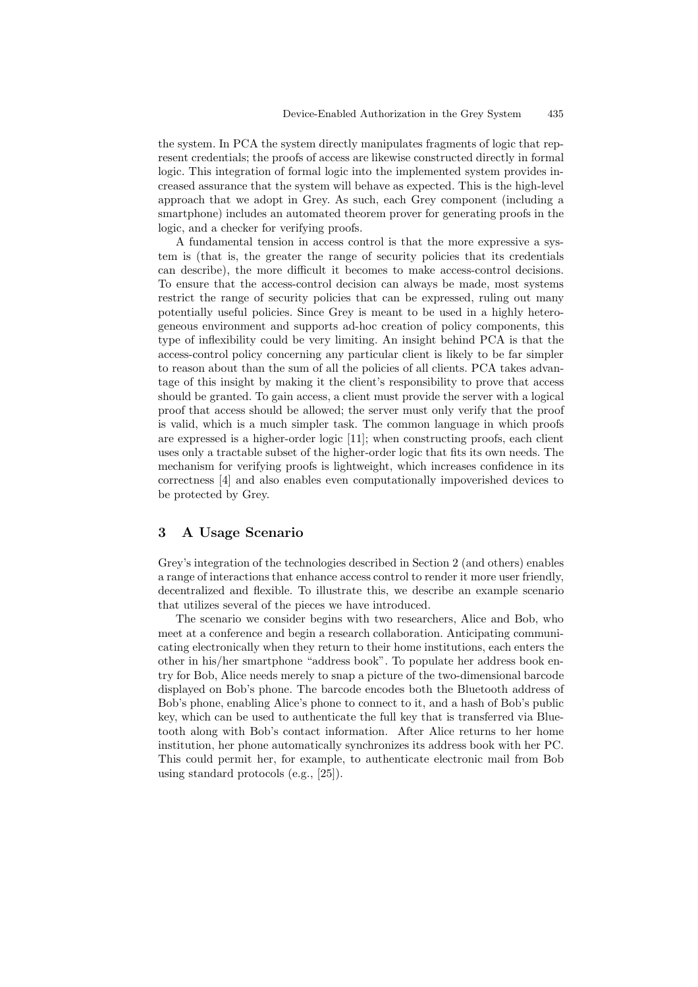the system. In PCA the system directly manipulates fragments of logic that represent credentials; the proofs of access are likewise constructed directly in formal logic. This integration of formal logic into the implemented system provides increased assurance that the system will behave as expected. This is the high-level approach that we adopt in Grey. As such, each Grey component (including a smartphone) includes an automated theorem prover for generating proofs in the logic, and a checker for verifying proofs.

A fundamental tension in access control is that the more expressive a system is (that is, the greater the range of security policies that its credentials can describe), the more difficult it becomes to make access-control decisions. To ensure that the access-control decision can always be made, most systems restrict the range of security policies that can be expressed, ruling out many potentially useful policies. Since Grey is meant to be used in a highly heterogeneous environment and supports ad-hoc creation of policy components, this type of inflexibility could be very limiting. An insight behind PCA is that the access-control policy concerning any particular client is likely to be far simpler to reason about than the sum of all the policies of all clients. PCA takes advantage of this insight by making it the client's responsibility to prove that access should be granted. To gain access, a client must provide the server with a logical proof that access should be allowed; the server must only verify that the proof is valid, which is a much simpler task. The common language in which proofs are expressed is a higher-order logic [11]; when constructing proofs, each client uses only a tractable subset of the higher-order logic that fits its own needs. The mechanism for verifying proofs is lightweight, which increases confidence in its correctness [4] and also enables even computationally impoverished devices to be protected by Grey.

# **3 A Usage Scenario**

Grey's integration of the technologies described in Section 2 (and others) enables a range of interactions that enhance access control to render it more user friendly, decentralized and flexible. To illustrate this, we describe an example scenario that utilizes several of the pieces we have introduced.

The scenario we consider begins with two researchers, Alice and Bob, who meet at a conference and begin a research collaboration. Anticipating communicating electronically when they return to their home institutions, each enters the other in his/her smartphone "address book". To populate her address book entry for Bob, Alice needs merely to snap a picture of the two-dimensional barcode displayed on Bob's phone. The barcode encodes both the Bluetooth address of Bob's phone, enabling Alice's phone to connect to it, and a hash of Bob's public key, which can be used to authenticate the full key that is transferred via Bluetooth along with Bob's contact information. After Alice returns to her home institution, her phone automatically synchronizes its address book with her PC. This could permit her, for example, to authenticate electronic mail from Bob using standard protocols (e.g., [25]).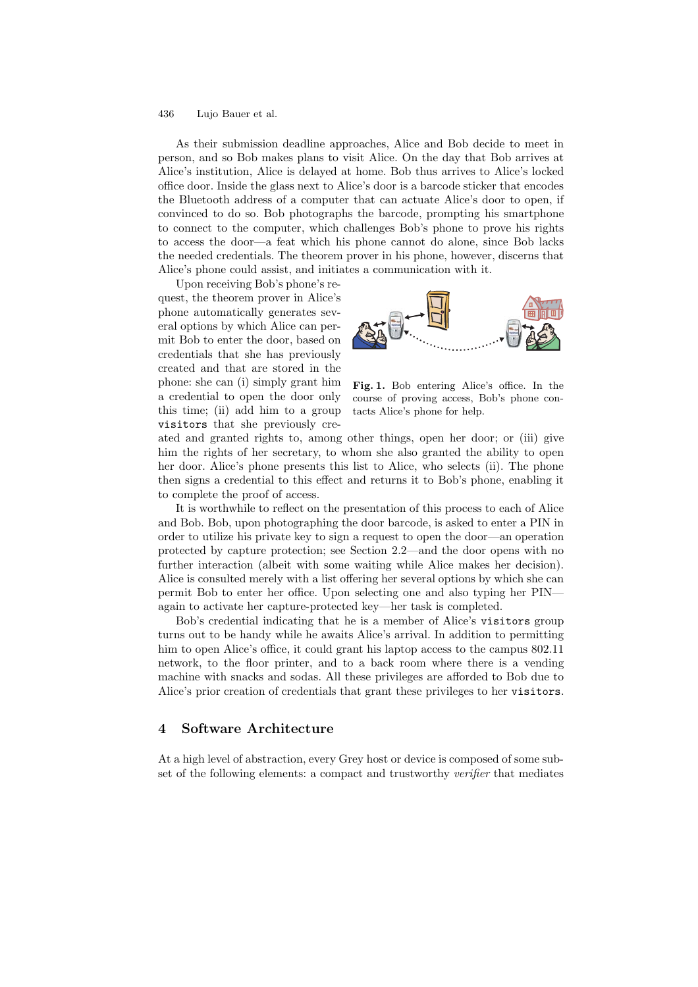As their submission deadline approaches, Alice and Bob decide to meet in person, and so Bob makes plans to visit Alice. On the day that Bob arrives at Alice's institution, Alice is delayed at home. Bob thus arrives to Alice's locked office door. Inside the glass next to Alice's door is a barcode sticker that encodes the Bluetooth address of a computer that can actuate Alice's door to open, if convinced to do so. Bob photographs the barcode, prompting his smartphone to connect to the computer, which challenges Bob's phone to prove his rights to access the door—a feat which his phone cannot do alone, since Bob lacks the needed credentials. The theorem prover in his phone, however, discerns that Alice's phone could assist, and initiates a communication with it.

Upon receiving Bob's phone's request, the theorem prover in Alice's phone automatically generates several options by which Alice can permit Bob to enter the door, based on credentials that she has previously created and that are stored in the phone: she can (i) simply grant him a credential to open the door only this time; (ii) add him to a group visitors that she previously cre-



**Fig. 1.** Bob entering Alice's office. In the course of proving access, Bob's phone contacts Alice's phone for help.

ated and granted rights to, among other things, open her door; or (iii) give him the rights of her secretary, to whom she also granted the ability to open her door. Alice's phone presents this list to Alice, who selects (ii). The phone then signs a credential to this effect and returns it to Bob's phone, enabling it to complete the proof of access.

It is worthwhile to reflect on the presentation of this process to each of Alice and Bob. Bob, upon photographing the door barcode, is asked to enter a PIN in order to utilize his private key to sign a request to open the door—an operation protected by capture protection; see Section 2.2—and the door opens with no further interaction (albeit with some waiting while Alice makes her decision). Alice is consulted merely with a list offering her several options by which she can permit Bob to enter her office. Upon selecting one and also typing her PIN again to activate her capture-protected key—her task is completed.

Bob's credential indicating that he is a member of Alice's visitors group turns out to be handy while he awaits Alice's arrival. In addition to permitting him to open Alice's office, it could grant his laptop access to the campus 802.11 network, to the floor printer, and to a back room where there is a vending machine with snacks and sodas. All these privileges are afforded to Bob due to Alice's prior creation of credentials that grant these privileges to her visitors.

## **4 Software Architecture**

At a high level of abstraction, every Grey host or device is composed of some subset of the following elements: a compact and trustworthy *verifier* that mediates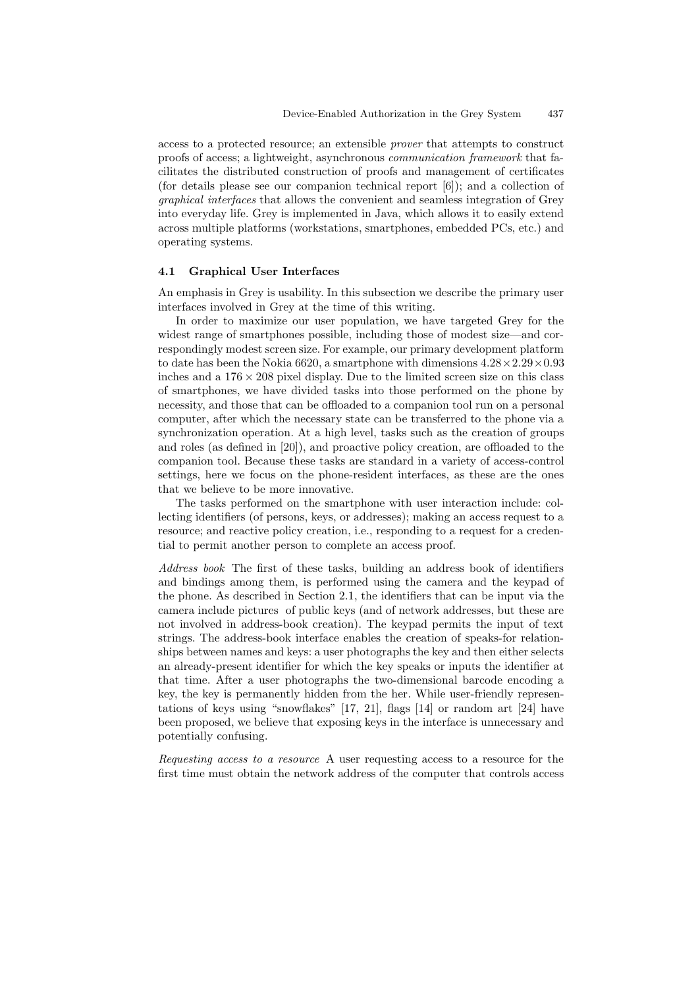access to a protected resource; an extensible *prover* that attempts to construct proofs of access; a lightweight, asynchronous *communication framework* that facilitates the distributed construction of proofs and management of certificates (for details please see our companion technical report [6]); and a collection of *graphical interfaces* that allows the convenient and seamless integration of Grey into everyday life. Grey is implemented in Java, which allows it to easily extend across multiple platforms (workstations, smartphones, embedded PCs, etc.) and operating systems.

#### **4.1 Graphical User Interfaces**

An emphasis in Grey is usability. In this subsection we describe the primary user interfaces involved in Grey at the time of this writing.

In order to maximize our user population, we have targeted Grey for the widest range of smartphones possible, including those of modest size—and correspondingly modest screen size. For example, our primary development platform to date has been the Nokia 6620, a smartphone with dimensions  $4.28 \times 2.29 \times 0.93$ inches and a  $176 \times 208$  pixel display. Due to the limited screen size on this class of smartphones, we have divided tasks into those performed on the phone by necessity, and those that can be offloaded to a companion tool run on a personal computer, after which the necessary state can be transferred to the phone via a synchronization operation. At a high level, tasks such as the creation of groups and roles (as defined in [20]), and proactive policy creation, are offloaded to the companion tool. Because these tasks are standard in a variety of access-control settings, here we focus on the phone-resident interfaces, as these are the ones that we believe to be more innovative.

The tasks performed on the smartphone with user interaction include: collecting identifiers (of persons, keys, or addresses); making an access request to a resource; and reactive policy creation, i.e., responding to a request for a credential to permit another person to complete an access proof.

*Address book* The first of these tasks, building an address book of identifiers and bindings among them, is performed using the camera and the keypad of the phone. As described in Section 2.1, the identifiers that can be input via the camera include pictures of public keys (and of network addresses, but these are not involved in address-book creation). The keypad permits the input of text strings. The address-book interface enables the creation of speaks-for relationships between names and keys: a user photographs the key and then either selects an already-present identifier for which the key speaks or inputs the identifier at that time. After a user photographs the two-dimensional barcode encoding a key, the key is permanently hidden from the her. While user-friendly representations of keys using "snowflakes" [17, 21], flags [14] or random art [24] have been proposed, we believe that exposing keys in the interface is unnecessary and potentially confusing.

*Requesting access to a resource* A user requesting access to a resource for the first time must obtain the network address of the computer that controls access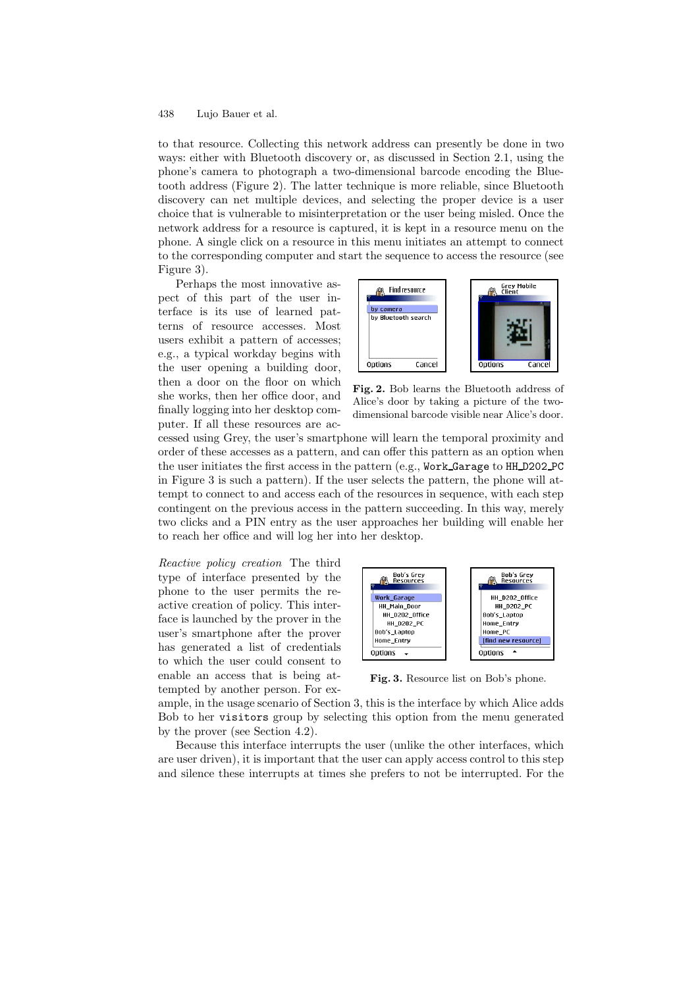to that resource. Collecting this network address can presently be done in two ways: either with Bluetooth discovery or, as discussed in Section 2.1, using the phone's camera to photograph a two-dimensional barcode encoding the Bluetooth address (Figure 2). The latter technique is more reliable, since Bluetooth discovery can net multiple devices, and selecting the proper device is a user choice that is vulnerable to misinterpretation or the user being misled. Once the network address for a resource is captured, it is kept in a resource menu on the phone. A single click on a resource in this menu initiates an attempt to connect to the corresponding computer and start the sequence to access the resource (see Figure 3).

Perhaps the most innovative aspect of this part of the user interface is its use of learned patterns of resource accesses. Most users exhibit a pattern of accesses; e.g., a typical workday begins with the user opening a building door, then a door on the floor on which she works, then her office door, and finally logging into her desktop computer. If all these resources are ac-



**Fig. 2.** Bob learns the Bluetooth address of Alice's door by taking a picture of the twodimensional barcode visible near Alice's door.

cessed using Grey, the user's smartphone will learn the temporal proximity and order of these accesses as a pattern, and can offer this pattern as an option when the user initiates the first access in the pattern (e.g., Work Garage to HH D202 PC in Figure 3 is such a pattern). If the user selects the pattern, the phone will attempt to connect to and access each of the resources in sequence, with each step contingent on the previous access in the pattern succeeding. In this way, merely two clicks and a PIN entry as the user approaches her building will enable her to reach her office and will log her into her desktop.

*Reactive policy creation* The third type of interface presented by the phone to the user permits the reactive creation of policy. This interface is launched by the prover in the user's smartphone after the prover has generated a list of credentials to which the user could consent to enable an access that is being attempted by another person. For ex-



**Fig. 3.** Resource list on Bob's phone.

ample, in the usage scenario of Section 3, this is the interface by which Alice adds Bob to her visitors group by selecting this option from the menu generated by the prover (see Section 4.2).

Because this interface interrupts the user (unlike the other interfaces, which are user driven), it is important that the user can apply access control to this step and silence these interrupts at times she prefers to not be interrupted. For the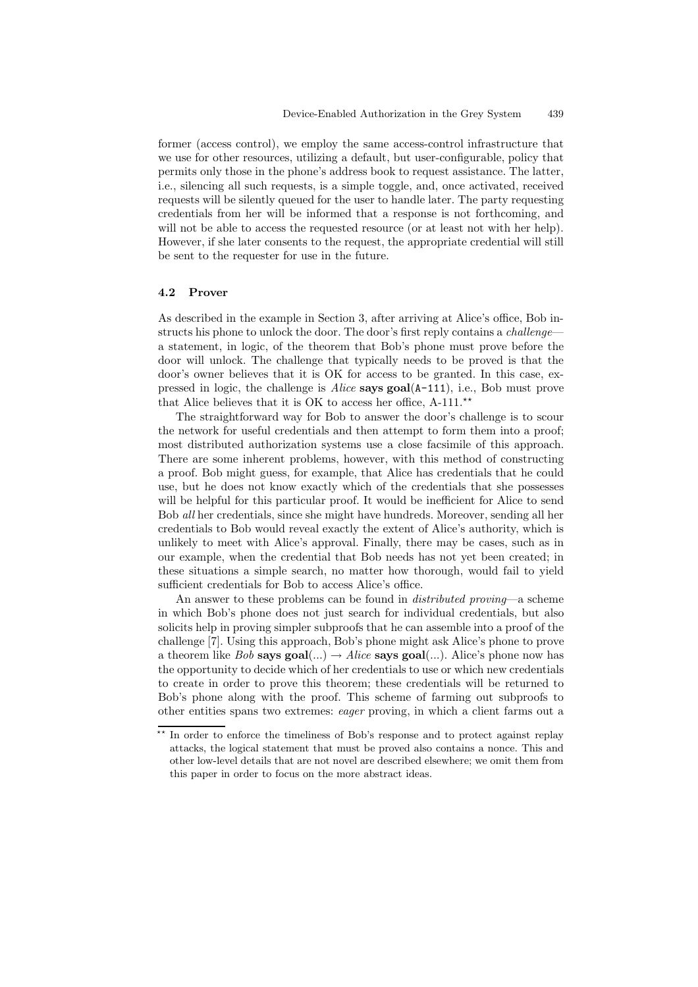former (access control), we employ the same access-control infrastructure that we use for other resources, utilizing a default, but user-configurable, policy that permits only those in the phone's address book to request assistance. The latter, i.e., silencing all such requests, is a simple toggle, and, once activated, received requests will be silently queued for the user to handle later. The party requesting credentials from her will be informed that a response is not forthcoming, and will not be able to access the requested resource (or at least not with her help). However, if she later consents to the request, the appropriate credential will still be sent to the requester for use in the future.

#### **4.2 Prover**

As described in the example in Section 3, after arriving at Alice's office, Bob instructs his phone to unlock the door. The door's first reply contains a *challenge* a statement, in logic, of the theorem that Bob's phone must prove before the door will unlock. The challenge that typically needs to be proved is that the door's owner believes that it is OK for access to be granted. In this case, expressed in logic, the challenge is *Alice* **says goal**(A-111), i.e., Bob must prove that Alice believes that it is OK to access her office,  $A-111$ .\*\*

The straightforward way for Bob to answer the door's challenge is to scour the network for useful credentials and then attempt to form them into a proof; most distributed authorization systems use a close facsimile of this approach. There are some inherent problems, however, with this method of constructing a proof. Bob might guess, for example, that Alice has credentials that he could use, but he does not know exactly which of the credentials that she possesses will be helpful for this particular proof. It would be inefficient for Alice to send Bob *all* her credentials, since she might have hundreds. Moreover, sending all her credentials to Bob would reveal exactly the extent of Alice's authority, which is unlikely to meet with Alice's approval. Finally, there may be cases, such as in our example, when the credential that Bob needs has not yet been created; in these situations a simple search, no matter how thorough, would fail to yield sufficient credentials for Bob to access Alice's office.

An answer to these problems can be found in *distributed proving*—a scheme in which Bob's phone does not just search for individual credentials, but also solicits help in proving simpler subproofs that he can assemble into a proof of the challenge [7]. Using this approach, Bob's phone might ask Alice's phone to prove a theorem like *Bob* **says goal**(...)  $\rightarrow$  *Alice* **says goal**(...). Alice's phone now has the opportunity to decide which of her credentials to use or which new credentials to create in order to prove this theorem; these credentials will be returned to Bob's phone along with the proof. This scheme of farming out subproofs to other entities spans two extremes: *eager* proving, in which a client farms out a

<sup>&</sup>lt;sup>\*\*</sup> In order to enforce the timeliness of Bob's response and to protect against replay attacks, the logical statement that must be proved also contains a nonce. This and other low-level details that are not novel are described elsewhere; we omit them from this paper in order to focus on the more abstract ideas.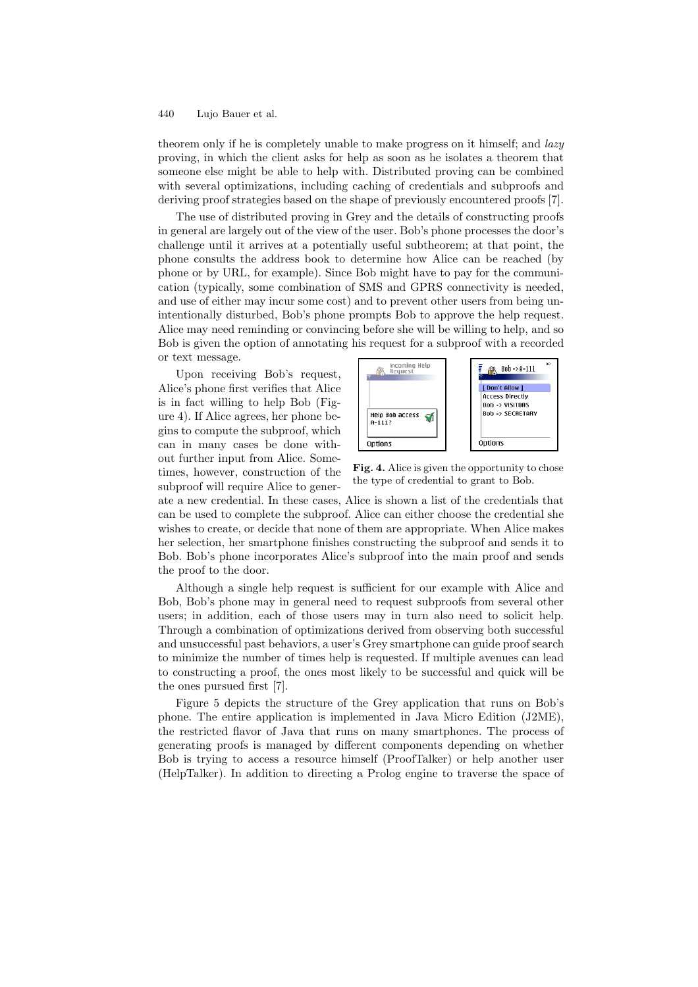theorem only if he is completely unable to make progress on it himself; and *lazy* proving, in which the client asks for help as soon as he isolates a theorem that someone else might be able to help with. Distributed proving can be combined with several optimizations, including caching of credentials and subproofs and deriving proof strategies based on the shape of previously encountered proofs [7].

The use of distributed proving in Grey and the details of constructing proofs in general are largely out of the view of the user. Bob's phone processes the door's challenge until it arrives at a potentially useful subtheorem; at that point, the phone consults the address book to determine how Alice can be reached (by phone or by URL, for example). Since Bob might have to pay for the communication (typically, some combination of SMS and GPRS connectivity is needed, and use of either may incur some cost) and to prevent other users from being unintentionally disturbed, Bob's phone prompts Bob to approve the help request. Alice may need reminding or convincing before she will be willing to help, and so Bob is given the option of annotating his request for a subproof with a recorded or text message.

Upon receiving Bob's request, Alice's phone first verifies that Alice is in fact willing to help Bob (Figure 4). If Alice agrees, her phone begins to compute the subproof, which can in many cases be done without further input from Alice. Sometimes, however, construction of the subproof will require Alice to gener-



**Fig. 4.** Alice is given the opportunity to chose the type of credential to grant to Bob.

ate a new credential. In these cases, Alice is shown a list of the credentials that can be used to complete the subproof. Alice can either choose the credential she wishes to create, or decide that none of them are appropriate. When Alice makes her selection, her smartphone finishes constructing the subproof and sends it to Bob. Bob's phone incorporates Alice's subproof into the main proof and sends the proof to the door.

Although a single help request is sufficient for our example with Alice and Bob, Bob's phone may in general need to request subproofs from several other users; in addition, each of those users may in turn also need to solicit help. Through a combination of optimizations derived from observing both successful and unsuccessful past behaviors, a user's Grey smartphone can guide proof search to minimize the number of times help is requested. If multiple avenues can lead to constructing a proof, the ones most likely to be successful and quick will be the ones pursued first [7].

Figure 5 depicts the structure of the Grey application that runs on Bob's phone. The entire application is implemented in Java Micro Edition (J2ME), the restricted flavor of Java that runs on many smartphones. The process of generating proofs is managed by different components depending on whether Bob is trying to access a resource himself (ProofTalker) or help another user (HelpTalker). In addition to directing a Prolog engine to traverse the space of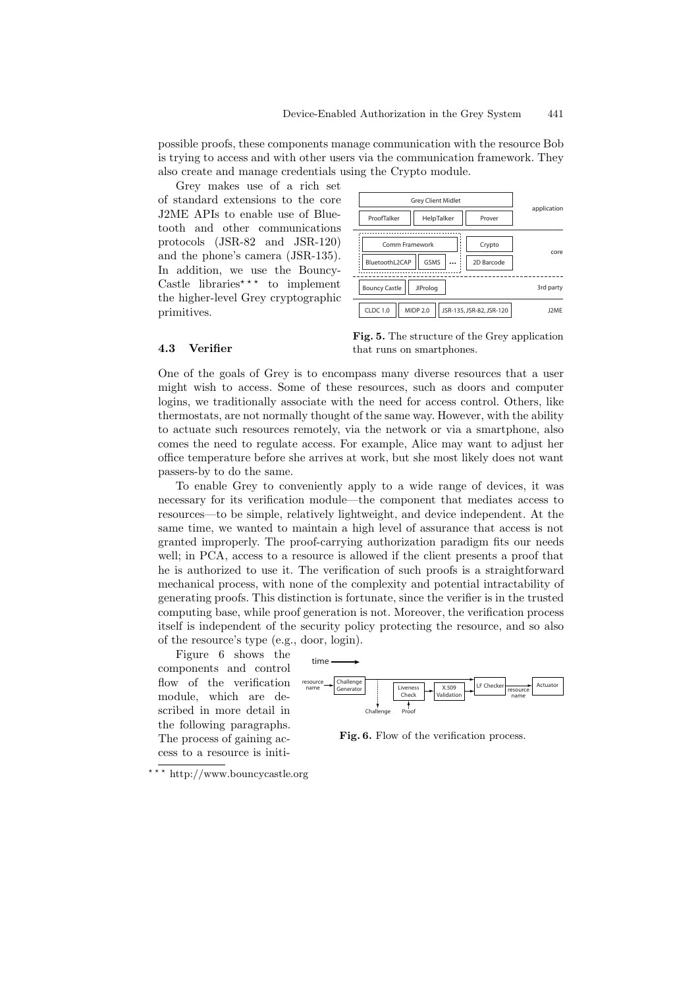possible proofs, these components manage communication with the resource Bob is trying to access and with other users via the communication framework. They also create and manage credentials using the Crypto module.

Grey makes use of a rich set of standard extensions to the core J2ME APIs to enable use of Bluetooth and other communications protocols (JSR-82 and JSR-120) and the phone's camera (JSR-135). In addition, we use the Bouncy-Castle libraries  $\star \star \star$  to implement the higher-level Grey cryptographic primitives.



#### **4.3 Verifier**

**Fig. 5.** The structure of the Grey application that runs on smartphones.

One of the goals of Grey is to encompass many diverse resources that a user might wish to access. Some of these resources, such as doors and computer logins, we traditionally associate with the need for access control. Others, like thermostats, are not normally thought of the same way. However, with the ability to actuate such resources remotely, via the network or via a smartphone, also comes the need to regulate access. For example, Alice may want to adjust her office temperature before she arrives at work, but she most likely does not want passers-by to do the same.

To enable Grey to conveniently apply to a wide range of devices, it was necessary for its verification module—the component that mediates access to resources—to be simple, relatively lightweight, and device independent. At the same time, we wanted to maintain a high level of assurance that access is not granted improperly. The proof-carrying authorization paradigm fits our needs well; in PCA, access to a resource is allowed if the client presents a proof that he is authorized to use it. The verification of such proofs is a straightforward mechanical process, with none of the complexity and potential intractability of generating proofs. This distinction is fortunate, since the verifier is in the trusted computing base, while proof generation is not. Moreover, the verification process itself is independent of the security policy protecting the resource, and so also of the resource's type (e.g., door, login).

Figure 6 shows the components and control flow of the verification module, which are described in more detail in the following paragraphs. The process of gaining access to a resource is initi-



Fig. 6. Flow of the verification process.

\*\* http://www.bouncycastle.org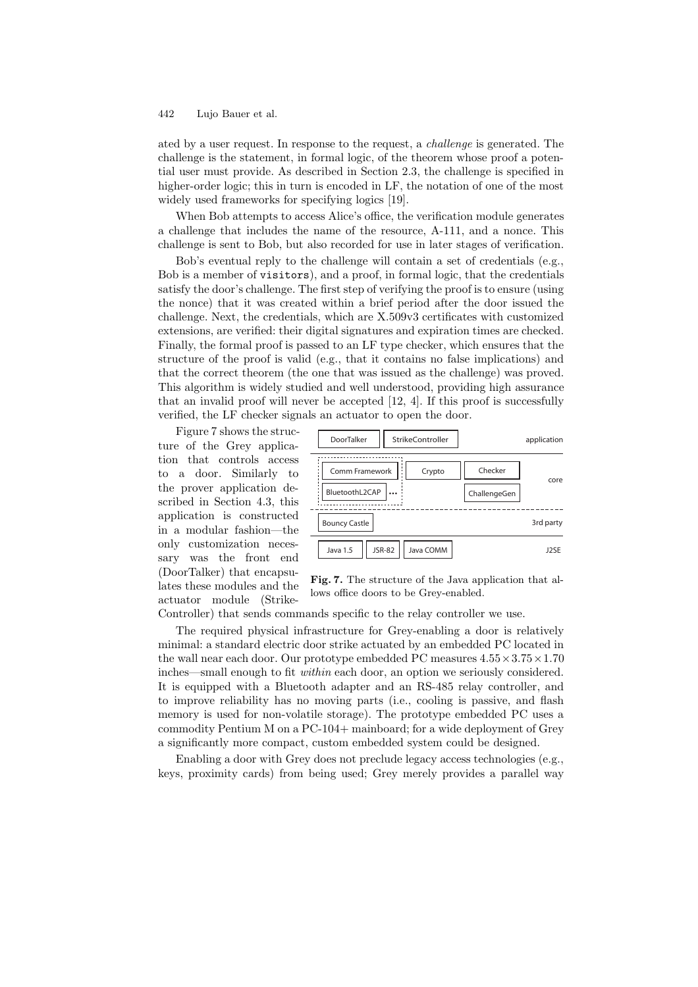ated by a user request. In response to the request, a *challenge* is generated. The challenge is the statement, in formal logic, of the theorem whose proof a potential user must provide. As described in Section 2.3, the challenge is specified in higher-order logic; this in turn is encoded in LF, the notation of one of the most widely used frameworks for specifying logics [19].

When Bob attempts to access Alice's office, the verification module generates a challenge that includes the name of the resource, A-111, and a nonce. This challenge is sent to Bob, but also recorded for use in later stages of verification.

Bob's eventual reply to the challenge will contain a set of credentials (e.g., Bob is a member of visitors), and a proof, in formal logic, that the credentials satisfy the door's challenge. The first step of verifying the proof is to ensure (using the nonce) that it was created within a brief period after the door issued the challenge. Next, the credentials, which are X.509v3 certificates with customized extensions, are verified: their digital signatures and expiration times are checked. Finally, the formal proof is passed to an LF type checker, which ensures that the structure of the proof is valid (e.g., that it contains no false implications) and that the correct theorem (the one that was issued as the challenge) was proved. This algorithm is widely studied and well understood, providing high assurance that an invalid proof will never be accepted [12, 4]. If this proof is successfully verified, the LF checker signals an actuator to open the door.

Figure 7 shows the structure of the Grey application that controls access to a door. Similarly to the prover application described in Section 4.3, this application is constructed in a modular fashion—the only customization necessary was the front end (DoorTalker) that encapsulates these modules and the actuator module (Strike-



**Fig. 7.** The structure of the Java application that allows office doors to be Grey-enabled.

Controller) that sends commands specific to the relay controller we use.

The required physical infrastructure for Grey-enabling a door is relatively minimal: a standard electric door strike actuated by an embedded PC located in the wall near each door. Our prototype embedded PC measures  $4.55 \times 3.75 \times 1.70$ inches—small enough to fit *within* each door, an option we seriously considered. It is equipped with a Bluetooth adapter and an RS-485 relay controller, and to improve reliability has no moving parts (i.e., cooling is passive, and flash memory is used for non-volatile storage). The prototype embedded PC uses a commodity Pentium M on a PC-104+ mainboard; for a wide deployment of Grey a significantly more compact, custom embedded system could be designed.

Enabling a door with Grey does not preclude legacy access technologies (e.g., keys, proximity cards) from being used; Grey merely provides a parallel way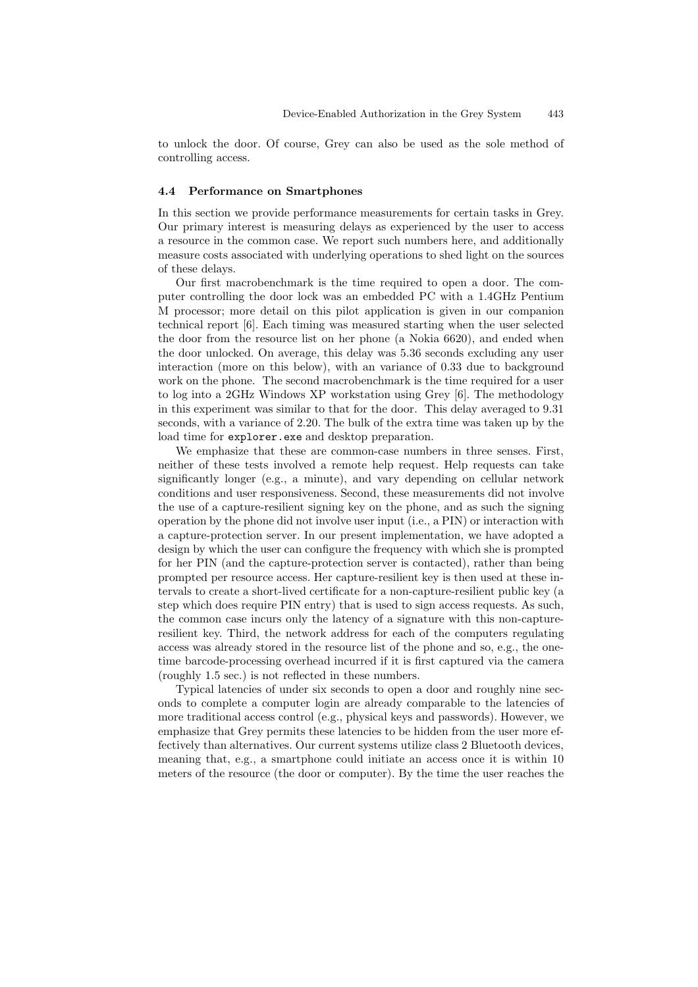to unlock the door. Of course, Grey can also be used as the sole method of controlling access.

## **4.4 Performance on Smartphones**

In this section we provide performance measurements for certain tasks in Grey. Our primary interest is measuring delays as experienced by the user to access a resource in the common case. We report such numbers here, and additionally measure costs associated with underlying operations to shed light on the sources of these delays.

Our first macrobenchmark is the time required to open a door. The computer controlling the door lock was an embedded PC with a 1.4GHz Pentium M processor; more detail on this pilot application is given in our companion technical report [6]. Each timing was measured starting when the user selected the door from the resource list on her phone (a Nokia 6620), and ended when the door unlocked. On average, this delay was 5.36 seconds excluding any user interaction (more on this below), with an variance of 0.33 due to background work on the phone. The second macrobenchmark is the time required for a user to log into a 2GHz Windows XP workstation using Grey [6]. The methodology in this experiment was similar to that for the door. This delay averaged to 9.31 seconds, with a variance of 2.20. The bulk of the extra time was taken up by the load time for explorer.exe and desktop preparation.

We emphasize that these are common-case numbers in three senses. First, neither of these tests involved a remote help request. Help requests can take significantly longer (e.g., a minute), and vary depending on cellular network conditions and user responsiveness. Second, these measurements did not involve the use of a capture-resilient signing key on the phone, and as such the signing operation by the phone did not involve user input (i.e., a PIN) or interaction with a capture-protection server. In our present implementation, we have adopted a design by which the user can configure the frequency with which she is prompted for her PIN (and the capture-protection server is contacted), rather than being prompted per resource access. Her capture-resilient key is then used at these intervals to create a short-lived certificate for a non-capture-resilient public key (a step which does require PIN entry) that is used to sign access requests. As such, the common case incurs only the latency of a signature with this non-captureresilient key. Third, the network address for each of the computers regulating access was already stored in the resource list of the phone and so, e.g., the onetime barcode-processing overhead incurred if it is first captured via the camera (roughly 1.5 sec.) is not reflected in these numbers.

Typical latencies of under six seconds to open a door and roughly nine seconds to complete a computer login are already comparable to the latencies of more traditional access control (e.g., physical keys and passwords). However, we emphasize that Grey permits these latencies to be hidden from the user more effectively than alternatives. Our current systems utilize class 2 Bluetooth devices, meaning that, e.g., a smartphone could initiate an access once it is within 10 meters of the resource (the door or computer). By the time the user reaches the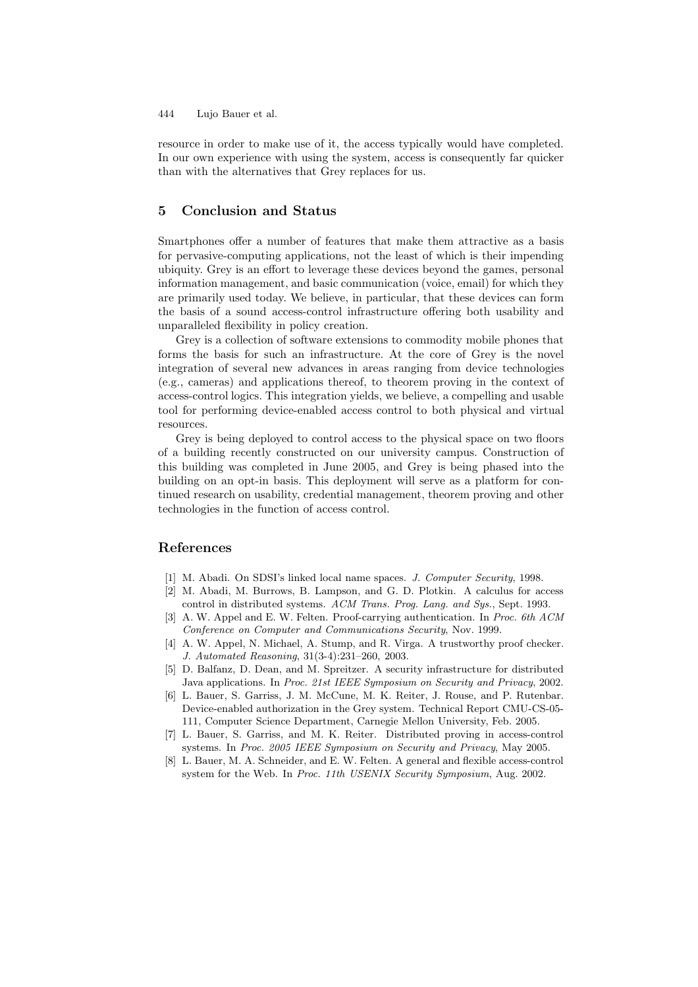resource in order to make use of it, the access typically would have completed. In our own experience with using the system, access is consequently far quicker than with the alternatives that Grey replaces for us.

# **5 Conclusion and Status**

Smartphones offer a number of features that make them attractive as a basis for pervasive-computing applications, not the least of which is their impending ubiquity. Grey is an effort to leverage these devices beyond the games, personal information management, and basic communication (voice, email) for which they are primarily used today. We believe, in particular, that these devices can form the basis of a sound access-control infrastructure offering both usability and unparalleled flexibility in policy creation.

Grey is a collection of software extensions to commodity mobile phones that forms the basis for such an infrastructure. At the core of Grey is the novel integration of several new advances in areas ranging from device technologies (e.g., cameras) and applications thereof, to theorem proving in the context of access-control logics. This integration yields, we believe, a compelling and usable tool for performing device-enabled access control to both physical and virtual resources.

Grey is being deployed to control access to the physical space on two floors of a building recently constructed on our university campus. Construction of this building was completed in June 2005, and Grey is being phased into the building on an opt-in basis. This deployment will serve as a platform for continued research on usability, credential management, theorem proving and other technologies in the function of access control.

# **References**

- [1] M. Abadi. On SDSI's linked local name spaces. *J. Computer Security*, 1998.
- [2] M. Abadi, M. Burrows, B. Lampson, and G. D. Plotkin. A calculus for access control in distributed systems. *ACM Trans. Prog. Lang. and Sys.*, Sept. 1993.
- [3] A. W. Appel and E. W. Felten. Proof-carrying authentication. In *Proc. 6th ACM Conference on Computer and Communications Security*, Nov. 1999.
- [4] A. W. Appel, N. Michael, A. Stump, and R. Virga. A trustworthy proof checker. *J. Automated Reasoning*, 31(3-4):231–260, 2003.
- [5] D. Balfanz, D. Dean, and M. Spreitzer. A security infrastructure for distributed Java applications. In *Proc. 21st IEEE Symposium on Security and Privacy*, 2002.
- [6] L. Bauer, S. Garriss, J. M. McCune, M. K. Reiter, J. Rouse, and P. Rutenbar. Device-enabled authorization in the Grey system. Technical Report CMU-CS-05- 111, Computer Science Department, Carnegie Mellon University, Feb. 2005.
- [7] L. Bauer, S. Garriss, and M. K. Reiter. Distributed proving in access-control systems. In *Proc. 2005 IEEE Symposium on Security and Privacy*, May 2005.
- [8] L. Bauer, M. A. Schneider, and E. W. Felten. A general and flexible access-control system for the Web. In *Proc. 11th USENIX Security Symposium*, Aug. 2002.